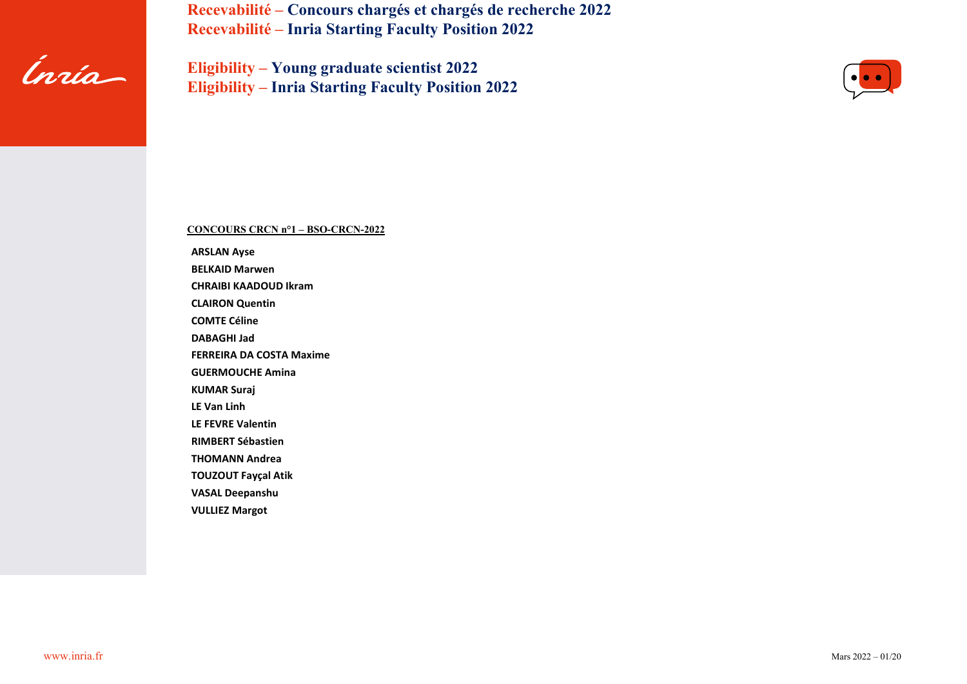

**Eligibility – Young graduate scientist 2022 Eligibility – Inria Starting Faculty Position 2022**



**CONCOURS CRCN n°1 – BSO-CRCN-2022**

**ARSLAN Ayse BELKAID Marwen CHRAIBI KAADOUD Ikram CLAIRON Quentin COMTE Céline DABAGHI Jad FERREIRA DA COSTA Maxime GUERMOUCHE Amina KUMAR Suraj LE Van Linh LE FEVRE Valentin RIMBERT Sébastien THOMANN Andrea TOUZOUT Fayçal Atik VASAL Deepanshu VULLIEZ Margot**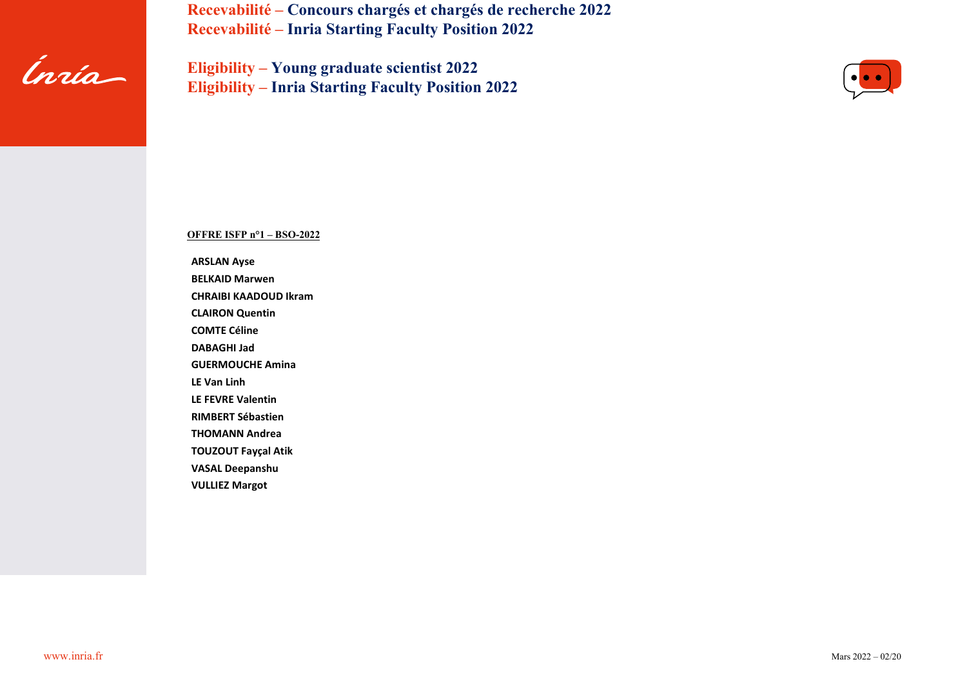

**Eligibility – Young graduate scientist 2022 Eligibility – Inria Starting Faculty Position 2022**



**OFFRE ISFP n°1 – BSO-2022**

**ARSLAN Ayse**

**BELKAID Marwen**

**CHRAIBI KAADOUD Ikram**

**CLAIRON Quentin**

**COMTE Céline**

**DABAGHI Jad**

**GUERMOUCHE Amina**

**LE Van Linh**

**LE FEVRE Valentin**

**RIMBERT Sébastien**

**THOMANN Andrea**

**TOUZOUT Fayçal Atik**

**VASAL Deepanshu**

**VULLIEZ Margot**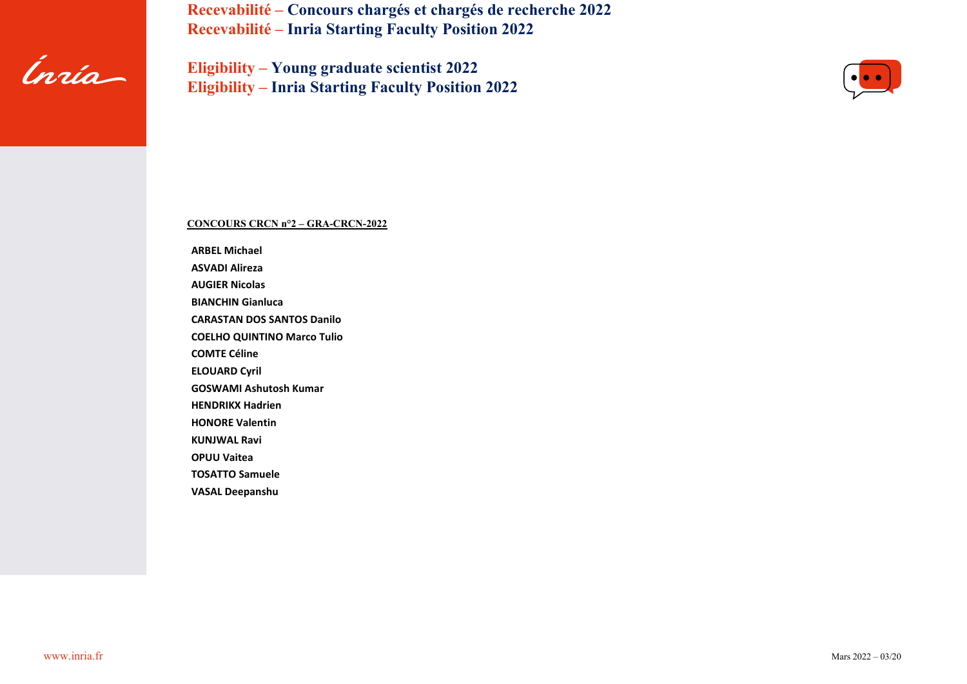

**Eligibility – Young graduate scientist 2022 Eligibility – Inria Starting Faculty Position 2022**



## **CONCOURS CRCN n°2 – GRA-CRCN-2022**

**ARBEL Michael ASVADI Alireza AUGIER Nicolas**

**BIANCHIN Gianluca**

**CARASTAN DOS SANTOS Danilo**

**COELHO QUINTINO Marco Tulio**

**COMTE Céline**

**ELOUARD Cyril**

**GOSWAMI Ashutosh Kumar**

**HENDRIKX Hadrien**

**HONORE Valentin**

**KUNJWAL Ravi**

**OPUU Vaitea**

**TOSATTO Samuele**

**VASAL Deepanshu**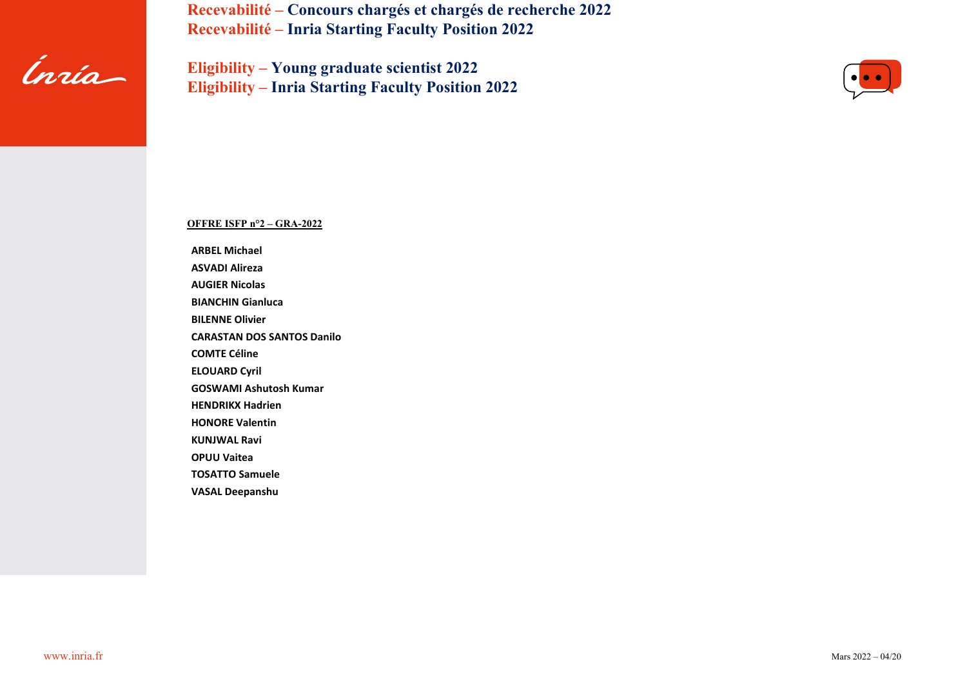

**Eligibility – Young graduate scientist 2022 Eligibility – Inria Starting Faculty Position 2022**



## **OFFRE ISFP n°2 – GRA-2022**

**ARBEL Michael**

**ASVADI Alireza**

**AUGIER Nicolas**

**BIANCHIN Gianluca**

**BILENNE Olivier**

**CARASTAN DOS SANTOS Danilo**

**COMTE Céline**

**ELOUARD Cyril**

**GOSWAMI Ashutosh Kumar**

**HENDRIKX Hadrien**

**HONORE Valentin**

**KUNJWAL Ravi**

**OPUU Vaitea**

**TOSATTO Samuele**

**VASAL Deepanshu**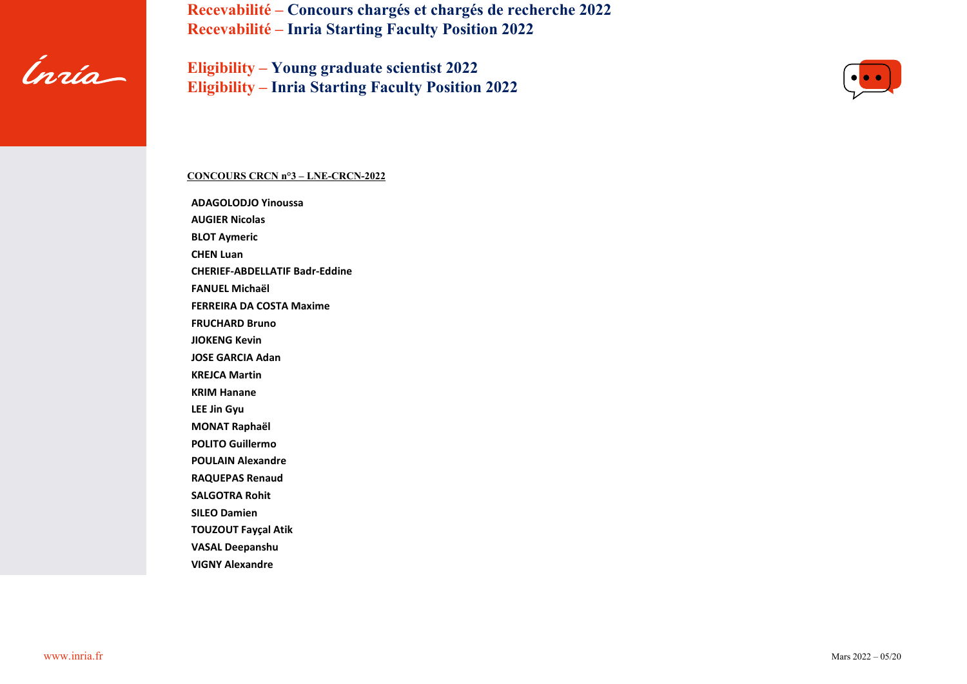

**Eligibility – Young graduate scientist 2022 Eligibility – Inria Starting Faculty Position 2022**



### **CONCOURS CRCN n°3 – LNE-CRCN-2022**

**ADAGOLODJO Yinoussa AUGIER Nicolas BLOT Aymeric CHEN Luan CHERIEF-ABDELLATIF Badr-Eddine FANUEL Michaël FERREIRA DA COSTA Maxime FRUCHARD Bruno JIOKENG Kevin JOSE GARCIA Adan KREJCA Martin KRIM Hanane LEE Jin Gyu MONAT Raphaël POLITO Guillermo POULAIN Alexandre RAQUEPAS Renaud SALGOTRA Rohit SILEO Damien TOUZOUT Fayçal Atik VASAL Deepanshu VIGNY Alexandre**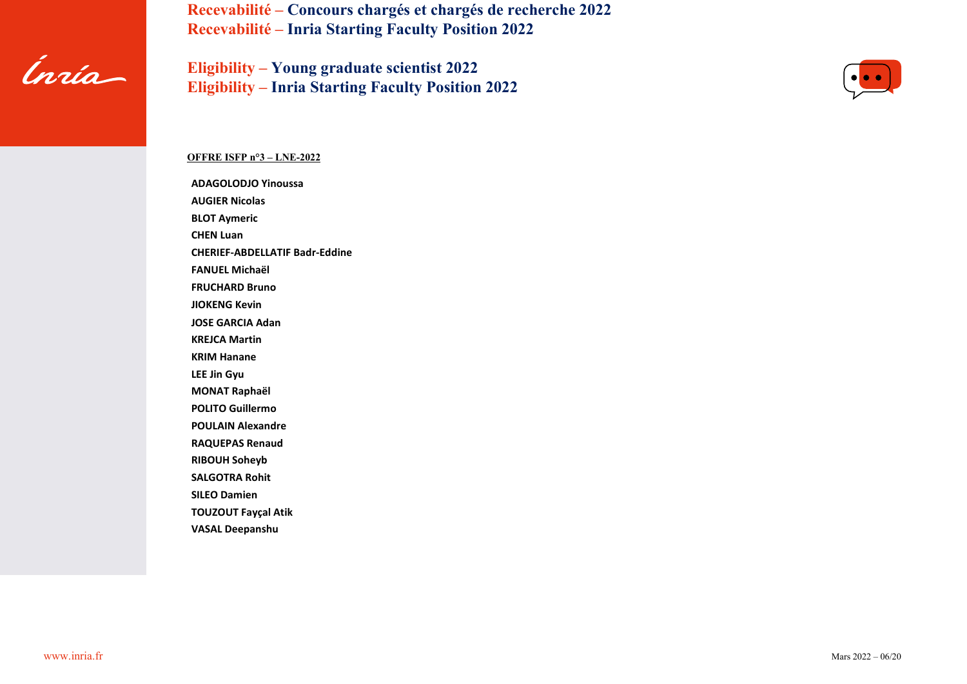

**Eligibility – Young graduate scientist 2022 Eligibility – Inria Starting Faculty Position 2022**



## **OFFRE ISFP n°3 – LNE-2022**

**ADAGOLODJO Yinoussa AUGIER Nicolas BLOT Aymeric CHEN Luan CHERIEF-ABDELLATIF Badr-Eddine FANUEL Michaël FRUCHARD Bruno JIOKENG Kevin JOSE GARCIA Adan KREJCA Martin KRIM Hanane LEE Jin Gyu MONAT Raphaël POLITO Guillermo POULAIN Alexandre RAQUEPAS Renaud RIBOUH Soheyb SALGOTRA Rohit SILEO Damien TOUZOUT Fayçal Atik VASAL Deepanshu**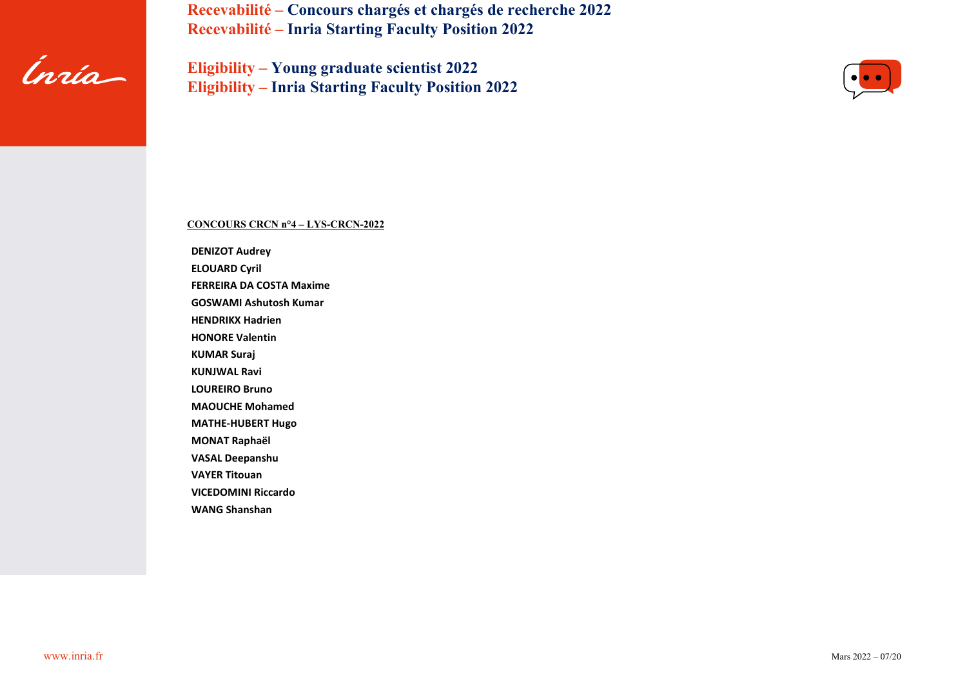

**Eligibility – Young graduate scientist 2022 Eligibility – Inria Starting Faculty Position 2022**



# **CONCOURS CRCN n°4 – LYS-CRCN-2022**

**DENIZOT Audrey ELOUARD Cyril FERREIRA DA COSTA Maxime GOSWAMI Ashutosh Kumar HENDRIKX Hadrien HONORE Valentin KUMAR Suraj KUNJWAL Ravi LOUREIRO Bruno MAOUCHE Mohamed MATHE-HUBERT Hugo MONAT Raphaël VASAL Deepanshu VAYER Titouan VICEDOMINI Riccardo WANG Shanshan**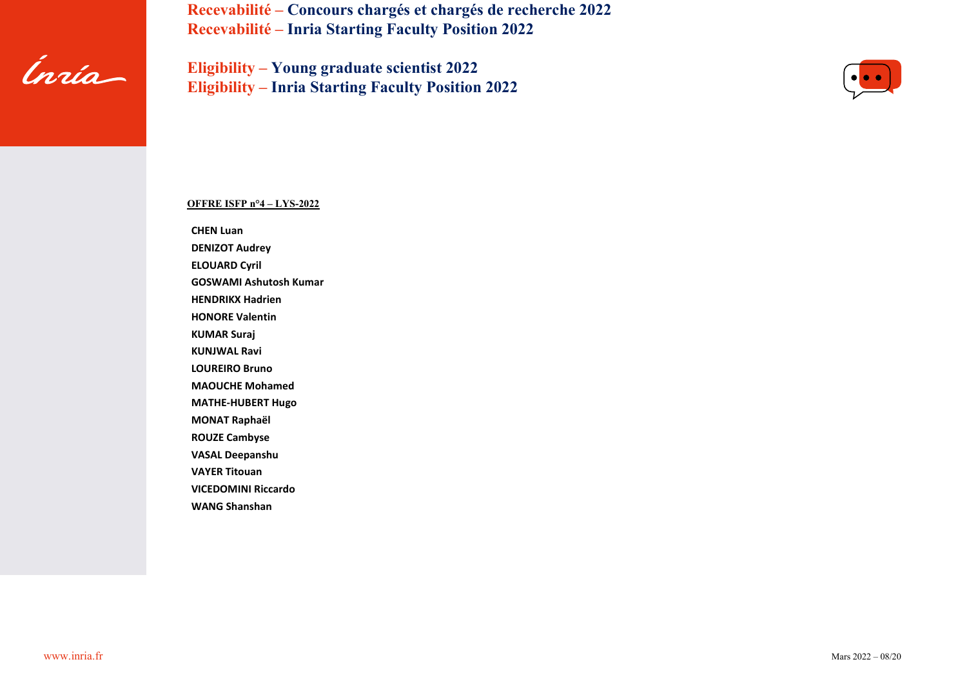

**Eligibility – Young graduate scientist 2022 Eligibility – Inria Starting Faculty Position 2022**



# **OFFRE ISFP n°4 – LYS-2022**

**CHEN Luan**

**DENIZOT Audrey**

**ELOUARD Cyril**

**GOSWAMI Ashutosh Kumar**

**HENDRIKX Hadrien**

**HONORE Valentin**

**KUMAR Suraj**

**KUNJWAL Ravi**

**LOUREIRO Bruno**

**MAOUCHE Mohamed**

**MATHE-HUBERT Hugo**

**MONAT Raphaël**

**ROUZE Cambyse**

**VASAL Deepanshu**

**VAYER Titouan**

**VICEDOMINI Riccardo**

**WANG Shanshan**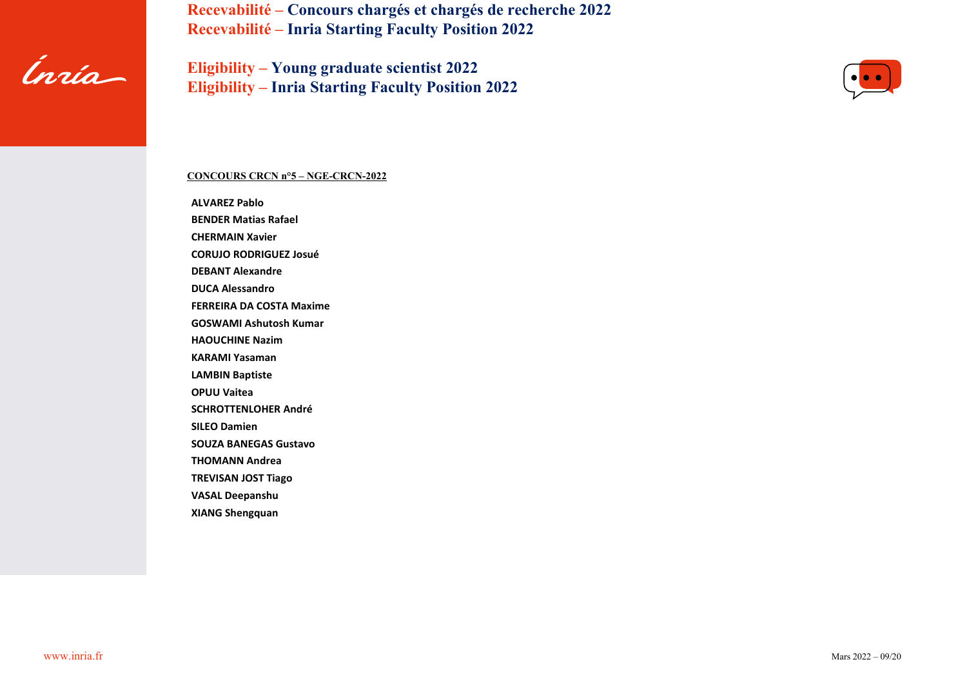

**Eligibility – Young graduate scientist 2022 Eligibility – Inria Starting Faculty Position 2022**



# **CONCOURS CRCN n°5 – NGE-CRCN-2022**

**ALVAREZ Pablo BENDER Matias Rafael CHERMAIN Xavier CORUJO RODRIGUEZ Josué DEBANT Alexandre DUCA Alessandro FERREIRA DA COSTA Maxime GOSWAMI Ashutosh Kumar HAOUCHINE Nazim KARAMI Yasaman LAMBIN Baptiste OPUU Vaitea SCHROTTENLOHER André SILEO Damien SOUZA BANEGAS Gustavo THOMANN Andrea TREVISAN JOST Tiago VASAL Deepanshu XIANG Shengquan**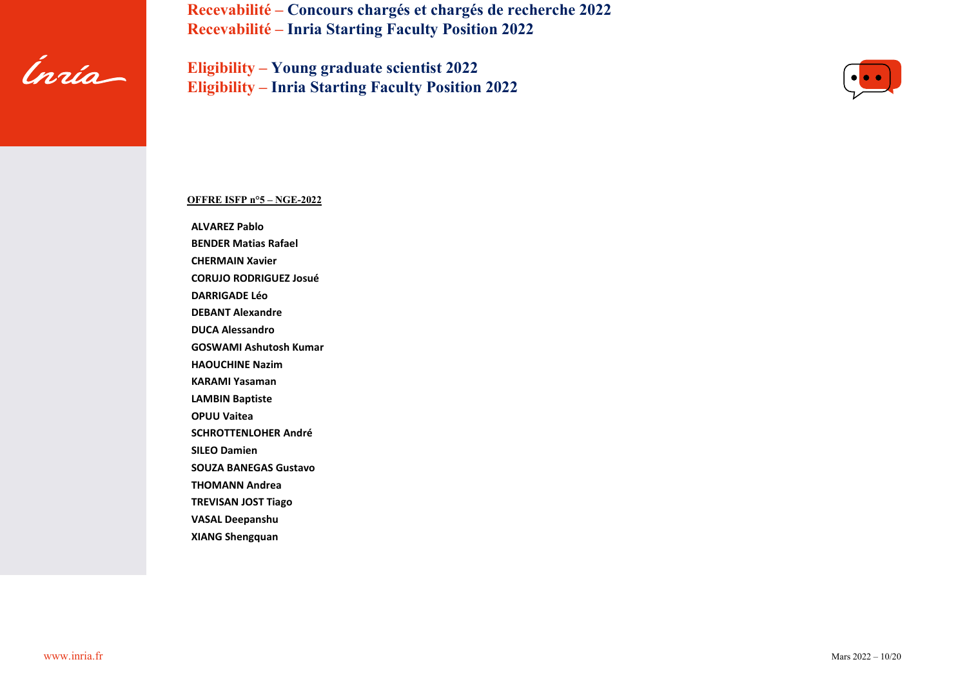

**Eligibility – Young graduate scientist 2022 Eligibility – Inria Starting Faculty Position 2022**



#### **OFFRE ISFP n°5 – NGE-2022**

**ALVAREZ Pablo BENDER Matias Rafael**

**CHERMAIN Xavier**

**CORUJO RODRIGUEZ Josué**

**DARRIGADE Léo**

**DEBANT Alexandre**

**DUCA Alessandro**

**GOSWAMI Ashutosh Kumar**

**HAOUCHINE Nazim**

**KARAMI Yasaman**

**LAMBIN Baptiste**

**OPUU Vaitea**

**SCHROTTENLOHER André**

**SILEO Damien**

**SOUZA BANEGAS Gustavo**

**THOMANN Andrea**

**TREVISAN JOST Tiago**

**VASAL Deepanshu**

**XIANG Shengquan**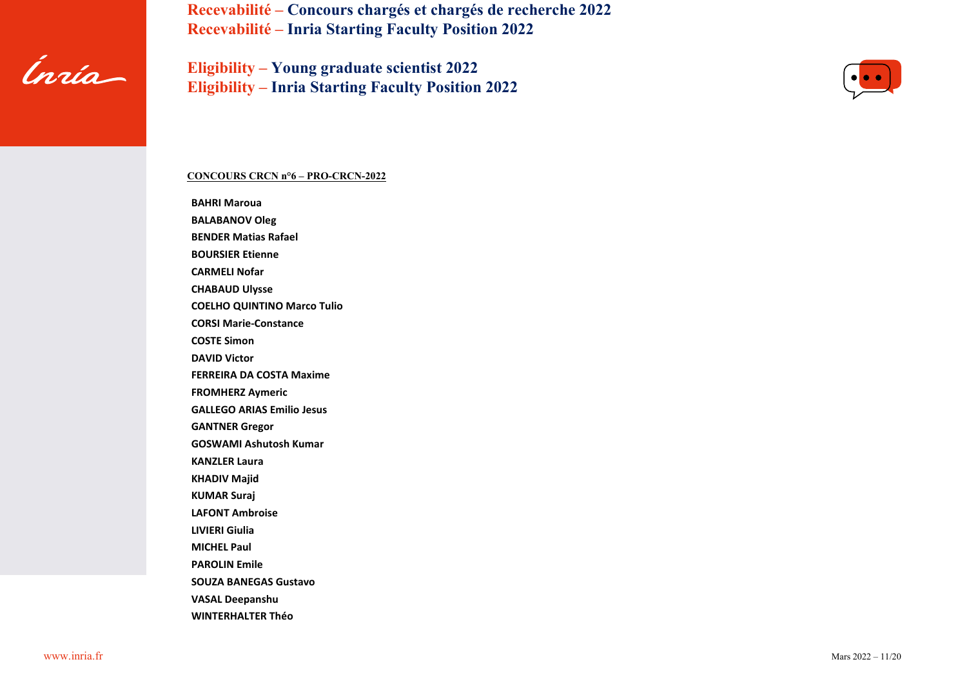

**Eligibility – Young graduate scientist 2022 Eligibility – Inria Starting Faculty Position 2022**



## **CONCOURS CRCN n°6 – PRO-CRCN-2022**

**BAHRI Maroua BALABANOV Oleg BENDER Matias Rafael BOURSIER Etienne CARMELI Nofar CHABAUD Ulysse COELHO QUINTINO Marco Tulio CORSI Marie-Constance COSTE Simon DAVID Victor FERREIRA DA COSTA Maxime FROMHERZ Aymeric GALLEGO ARIAS Emilio Jesus GANTNER Gregor GOSWAMI Ashutosh Kumar KANZLER Laura KHADIV Majid KUMAR Suraj LAFONT Ambroise LIVIERI Giulia MICHEL Paul PAROLIN Emile SOUZA BANEGAS Gustavo VASAL Deepanshu WINTERHALTER Théo**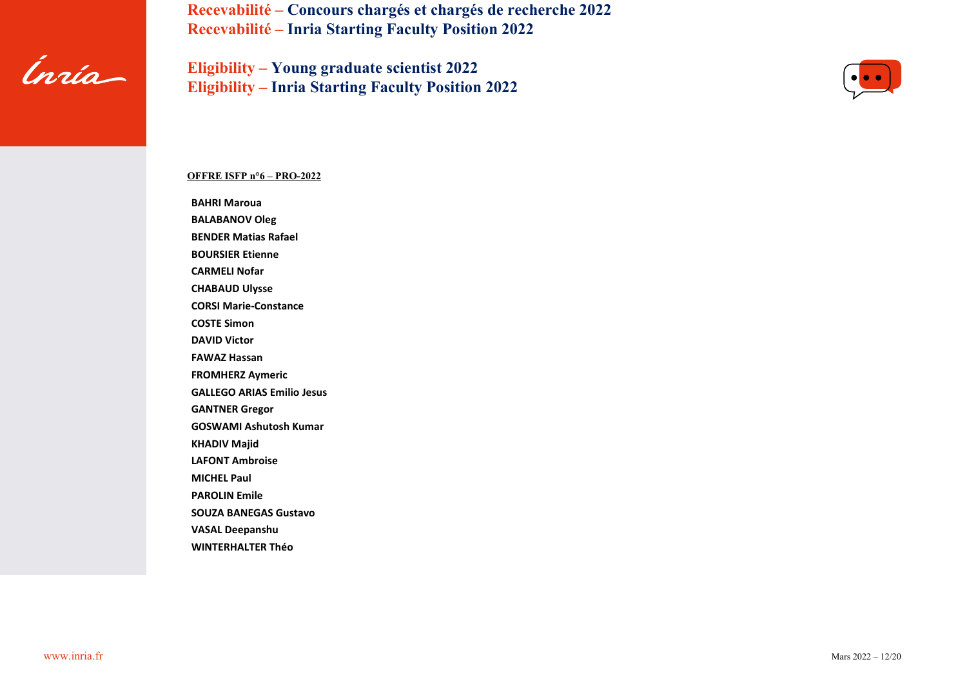

**Eligibility – Young graduate scientist 2022 Eligibility – Inria Starting Faculty Position 2022**



#### **OFFRE ISFP n°6 – PRO-2022**

**BAHRI Maroua**

**BALABANOV Oleg BENDER Matias Rafael**

**BOURSIER Etienne**

**CARMELI Nofar**

**CHABAUD Ulysse**

**CORSI Marie-Constance**

**COSTE Simon**

**DAVID Victor**

**FAWAZ Hassan**

**FROMHERZ Aymeric**

**GALLEGO ARIAS Emilio Jesus**

**GANTNER Gregor**

**GOSWAMI Ashutosh Kumar**

**KHADIV Majid**

**LAFONT Ambroise**

**MICHEL Paul**

**PAROLIN Emile**

**SOUZA BANEGAS Gustavo**

**VASAL Deepanshu**

**WINTERHALTER Théo**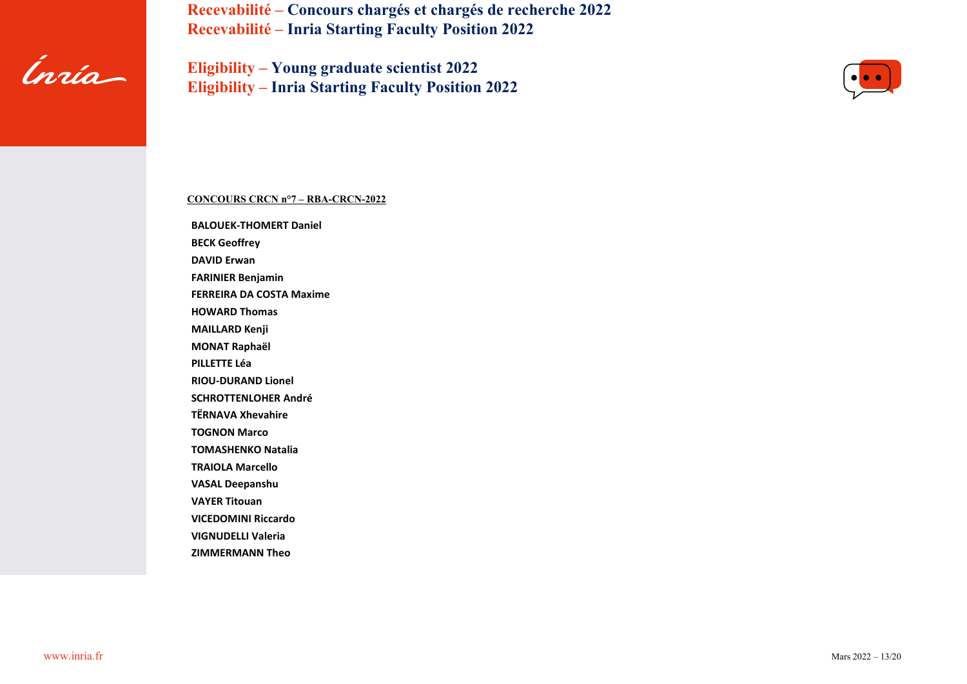

**Eligibility – Young graduate scientist 2022 Eligibility – Inria Starting Faculty Position 2022**



# **CONCOURS CRCN n°7 – RBA-CRCN-2022**

**BALOUEK-THOMERT Daniel BECK Geoffrey DAVID Erwan FARINIER Benjamin FERREIRA DA COSTA Maxime HOWARD Thomas MAILLARD Kenji MONAT Raphaël PILLETTE Léa RIOU-DURAND Lionel SCHROTTENLOHER André TËRNAVA Xhevahire TOGNON Marco TOMASHENKO Natalia TRAIOLA Marcello VASAL Deepanshu VAYER Titouan VICEDOMINI Riccardo VIGNUDELLI Valeria ZIMMERMANN Theo**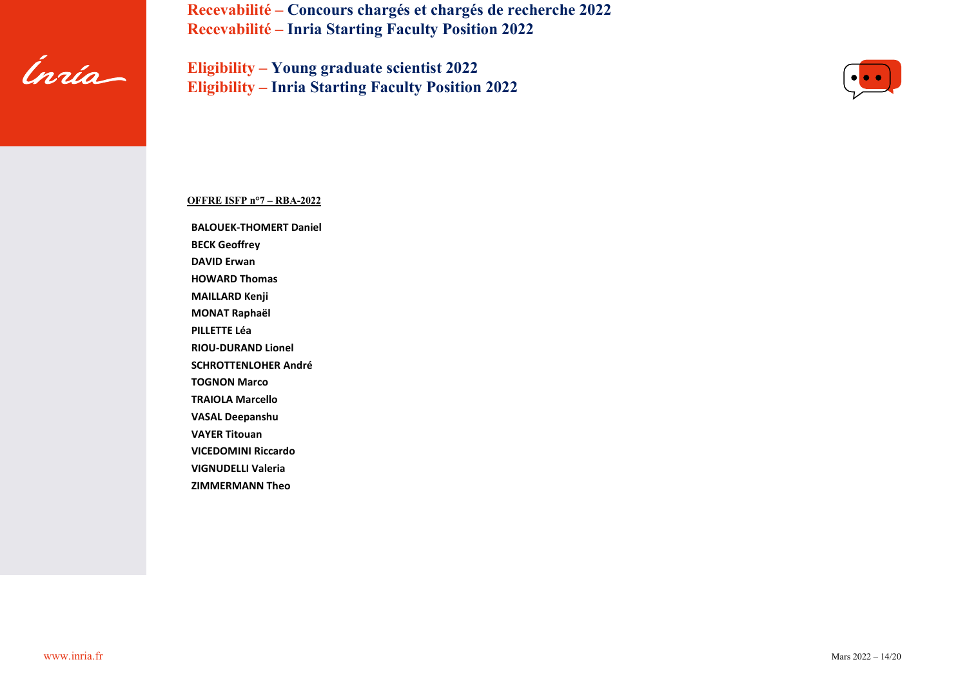

**Eligibility – Young graduate scientist 2022 Eligibility – Inria Starting Faculty Position 2022**



**OFFRE ISFP n°7 – RBA-2022**

**BALOUEK-THOMERT Daniel BECK Geoffrey**

**DAVID Erwan**

**HOWARD Thomas**

**MAILLARD Kenji**

**MONAT Raphaël**

**PILLETTE Léa**

**RIOU-DURAND Lionel**

**SCHROTTENLOHER André**

**TOGNON Marco**

**TRAIOLA Marcello**

**VASAL Deepanshu**

**VAYER Titouan**

**VICEDOMINI Riccardo**

**VIGNUDELLI Valeria**

**ZIMMERMANN Theo**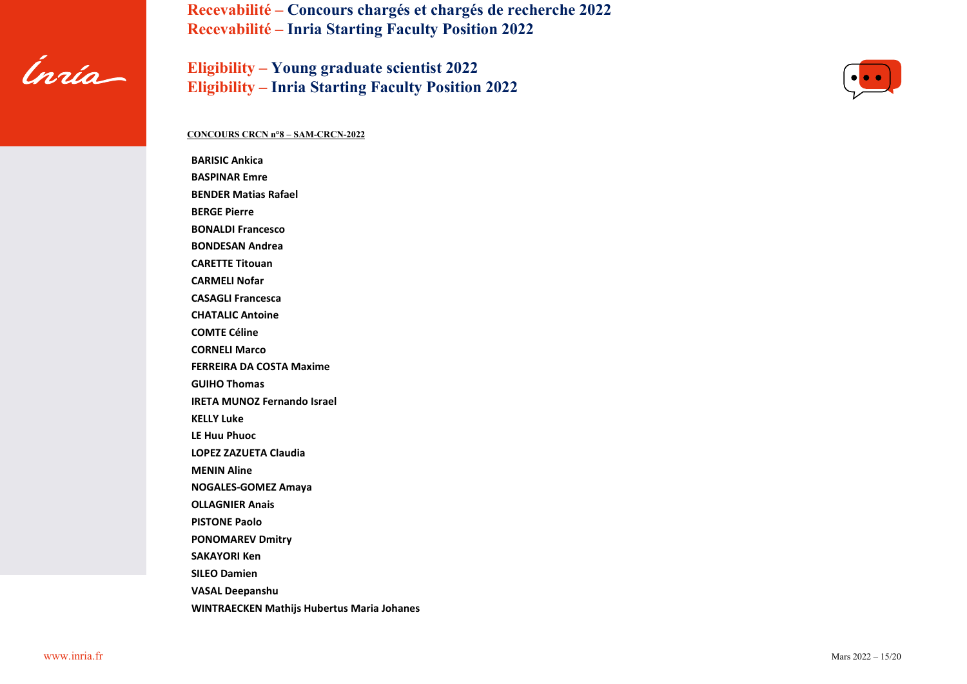

**Eligibility – Young graduate scientist 2022 Eligibility – Inria Starting Faculty Position 2022**



#### **CONCOURS CRCN n°8 – SAM-CRCN-2022**

**BARISIC Ankica BASPINAR Emre BENDER Matias Rafael BERGE Pierre BONALDI Francesco BONDESAN Andrea CARETTE Titouan CARMELI Nofar CASAGLI Francesca CHATALIC Antoine COMTE Céline CORNELI Marco FERREIRA DA COSTA Maxime GUIHO Thomas IRETA MUNOZ Fernando Israel KELLY Luke LE Huu Phuoc LOPEZ ZAZUETA Claudia MENIN Aline NOGALES-GOMEZ Amaya OLLAGNIER Anais PISTONE Paolo PONOMAREV Dmitry SAKAYORI Ken SILEO Damien VASAL Deepanshu WINTRAECKEN Mathijs Hubertus Maria Johanes**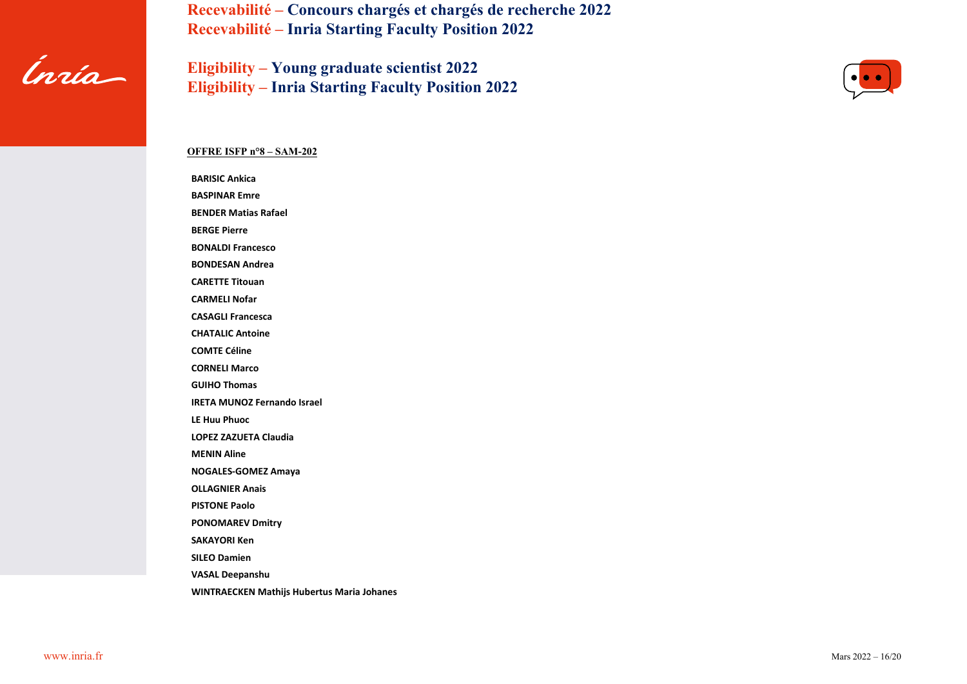

**Eligibility – Young graduate scientist 2022 Eligibility – Inria Starting Faculty Position 2022**



## **OFFRE ISFP n°8 – SAM-202**

**BARISIC Ankica BASPINAR Emre**

**BENDER Matias Rafael**

**BERGE Pierre**

**BONALDI Francesco**

**BONDESAN Andrea**

**CARETTE Titouan**

**CARMELI Nofar**

**CASAGLI Francesca**

**CHATALIC Antoine**

**COMTE Céline**

**CORNELI Marco**

**GUIHO Thomas**

**IRETA MUNOZ Fernando Israel**

**LE Huu Phuoc**

**LOPEZ ZAZUETA Claudia**

**MENIN Aline**

**NOGALES-GOMEZ Amaya**

**OLLAGNIER Anais**

**PISTONE Paolo**

**PONOMAREV Dmitry**

**SAKAYORI Ken**

**SILEO Damien**

**VASAL Deepanshu**

**WINTRAECKEN Mathijs Hubertus Maria Johanes**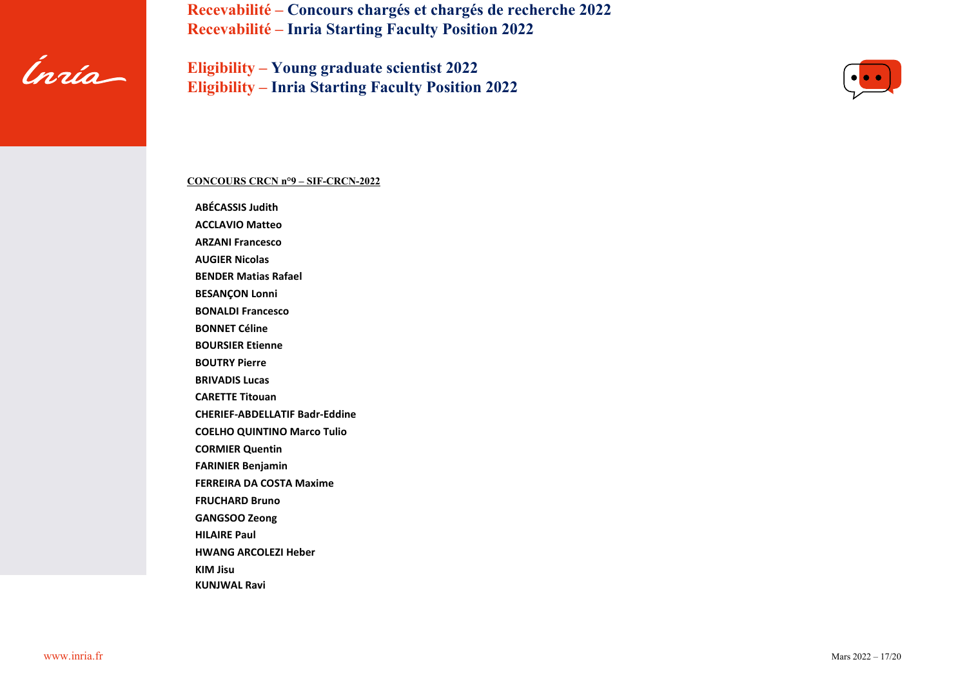

**Eligibility – Young graduate scientist 2022 Eligibility – Inria Starting Faculty Position 2022**



#### **CONCOURS CRCN n°9 – SIF-CRCN-2022**

**ABÉCASSIS Judith ACCLAVIO Matteo ARZANI Francesco AUGIER Nicolas BENDER Matias Rafael BESANÇON Lonni BONALDI Francesco BONNET Céline BOURSIER Etienne BOUTRY Pierre BRIVADIS Lucas CARETTE Titouan CHERIEF-ABDELLATIF Badr-Eddine COELHO QUINTINO Marco Tulio CORMIER Quentin FARINIER Benjamin FERREIRA DA COSTA Maxime FRUCHARD Bruno GANGSOO Zeong HILAIRE Paul HWANG ARCOLEZI Heber KIM Jisu KUNJWAL Ravi**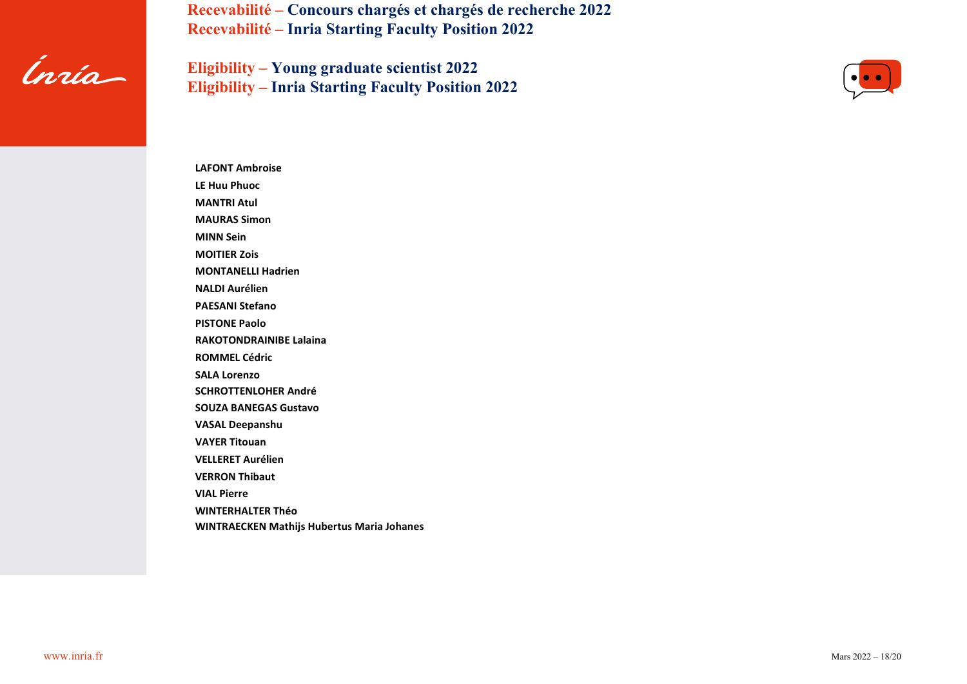

**Eligibility – Young graduate scientist 2022 Eligibility – Inria Starting Faculty Position 2022**



**LAFONT Ambroise LE Huu Phuoc MANTRI Atul MAURAS Simon MINN Sein MOITIER Zois MONTANELLI Hadrien NALDI Aurélien PAESANI Stefano PISTONE Paolo RAKOTONDRAINIBE Lalaina ROMMEL Cédric SALA Lorenzo SCHROTTENLOHER André SOUZA BANEGAS Gustavo VASAL Deepanshu VAYER Titouan VELLERET Aurélien VERRON Thibaut VIAL Pierre WINTERHALTER Théo WINTRAECKEN Mathijs Hubertus Maria Johanes**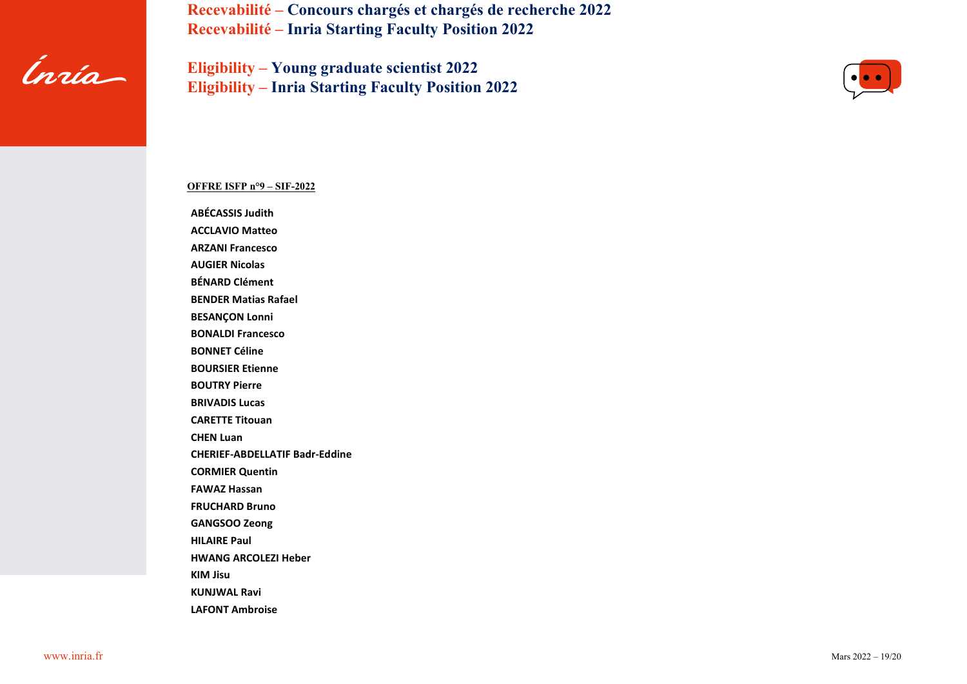

**Eligibility – Young graduate scientist 2022 Eligibility – Inria Starting Faculty Position 2022**



### **OFFRE ISFP n°9 – SIF-2022**

**ABÉCASSIS Judith**

**ACCLAVIO Matteo ARZANI Francesco**

**AUGIER Nicolas**

**BÉNARD Clément**

**BENDER Matias Rafael**

**BESANÇON Lonni**

**BONALDI Francesco**

**BONNET Céline**

**BOURSIER Etienne**

**BOUTRY Pierre**

**BRIVADIS Lucas**

**CARETTE Titouan**

**CHEN Luan**

**CHERIEF-ABDELLATIF Badr-Eddine**

**CORMIER Quentin**

**FAWAZ Hassan**

**FRUCHARD Bruno**

**GANGSOO Zeong**

**HILAIRE Paul**

**HWANG ARCOLEZI Heber**

**KIM Jisu**

**KUNJWAL Ravi**

**LAFONT Ambroise**